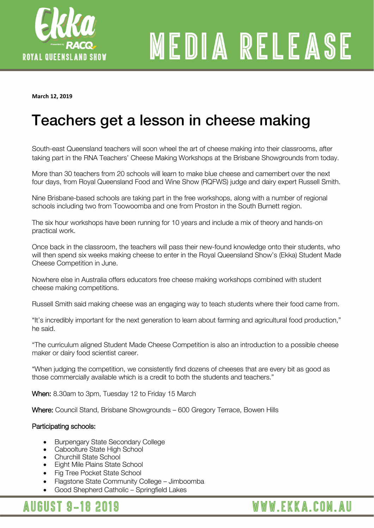

# MEDIA RELEASE

WWW.EKKA.COM.AU

**March 12, 2019** 

## Teachers get a lesson in cheese making

South-east Queensland teachers will soon wheel the art of cheese making into their classrooms, after taking part in the RNA Teachers' Cheese Making Workshops at the Brisbane Showgrounds from today.

More than 30 teachers from 20 schools will learn to make blue cheese and camembert over the next four days, from Royal Queensland Food and Wine Show (RQFWS) judge and dairy expert Russell Smith.

Nine Brisbane-based schools are taking part in the free workshops, along with a number of regional schools including two from Toowoomba and one from Proston in the South Burnett region.

The six hour workshops have been running for 10 years and include a mix of theory and hands-on practical work.

Once back in the classroom, the teachers will pass their new-found knowledge onto their students, who will then spend six weeks making cheese to enter in the Royal Queensland Show's (Ekka) Student Made Cheese Competition in June.

Nowhere else in Australia offers educators free cheese making workshops combined with student cheese making competitions.

Russell Smith said making cheese was an engaging way to teach students where their food came from.

"It's incredibly important for the next generation to learn about farming and agricultural food production," he said.

"The curriculum aligned Student Made Cheese Competition is also an introduction to a possible cheese maker or dairy food scientist career.

"When judging the competition, we consistently find dozens of cheeses that are every bit as good as those commercially available which is a credit to both the students and teachers."

When: 8.30am to 3pm, Tuesday 12 to Friday 15 March

Where: Council Stand, Brisbane Showgrounds – 600 Gregory Terrace, Bowen Hills

#### Participating schools:

- Burpengary State Secondary College
- Caboolture State High School
- Churchill State School
- Eight Mile Plains State School
- Fig Tree Pocket State School
- Flagstone State Community College Jimboomba
- Good Shepherd Catholic Springfield Lakes

### **AUGUST 9-18 2019**